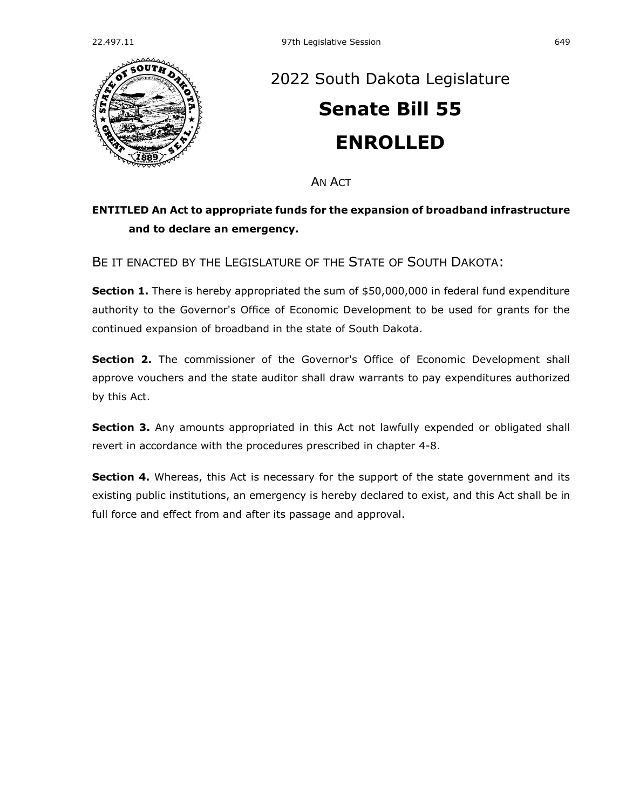

## [2022 South Dakota](https://sdlegislature.gov/Session/Bills/64) Legislature **[Senate Bill 55](https://sdlegislature.gov/Session/Bill/23068) ENROLLED**

AN ACT

## **ENTITLED An Act to appropriate funds for the expansion of broadband infrastructure and to declare an emergency.**

BE IT ENACTED BY THE LEGISLATURE OF THE STATE OF SOUTH DAKOTA:

**Section 1.** There is hereby appropriated the sum of \$50,000,000 in federal fund expenditure authority to the Governor's Office of Economic Development to be used for grants for the continued expansion of broadband in the state of South Dakota.

**Section 2.** The commissioner of the Governor's Office of Economic Development shall approve vouchers and the state auditor shall draw warrants to pay expenditures authorized by this Act.

**Section 3.** Any amounts appropriated in this Act not lawfully expended or obligated shall revert in accordance with the procedures prescribed in chapter [4-8.](https://sdlegislature.gov/Statutes?Statute=4-8)

**Section 4.** Whereas, this Act is necessary for the support of the state government and its existing public institutions, an emergency is hereby declared to exist, and this Act shall be in full force and effect from and after its passage and approval.